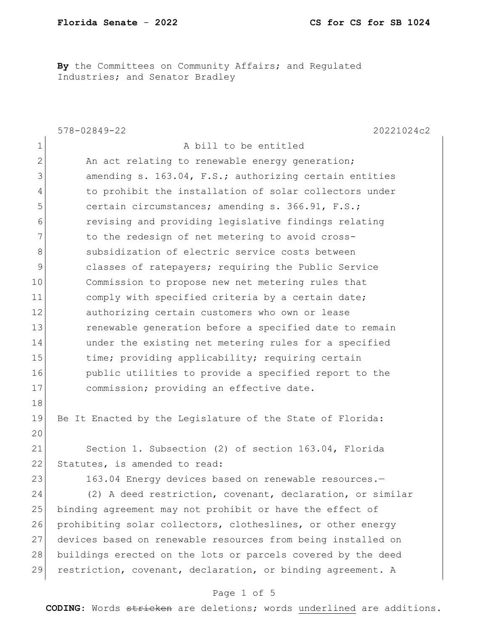By the Committees on Community Affairs; and Regulated Industries; and Senator Bradley

|              | $578 - 02849 - 22$<br>20221024c2                             |
|--------------|--------------------------------------------------------------|
| $\mathbf 1$  | A bill to be entitled                                        |
| $\mathbf{2}$ | An act relating to renewable energy generation;              |
| 3            | amending s. 163.04, F.S.; authorizing certain entities       |
| 4            | to prohibit the installation of solar collectors under       |
| 5            | certain circumstances; amending s. 366.91, F.S.;             |
| 6            | revising and providing legislative findings relating         |
| 7            | to the redesign of net metering to avoid cross-              |
| 8            | subsidization of electric service costs between              |
| 9            | classes of ratepayers; requiring the Public Service          |
| 10           | Commission to propose new net metering rules that            |
| 11           | comply with specified criteria by a certain date;            |
| 12           | authorizing certain customers who own or lease               |
| 13           | renewable generation before a specified date to remain       |
| 14           | under the existing net metering rules for a specified        |
| 15           | time; providing applicability; requiring certain             |
| 16           | public utilities to provide a specified report to the        |
| 17           | commission; providing an effective date.                     |
| 18           |                                                              |
| 19           | Be It Enacted by the Legislature of the State of Florida:    |
| 20           |                                                              |
| 21           | Section 1. Subsection (2) of section 163.04, Florida         |
| 22           | Statutes, is amended to read:                                |
| 23           | 163.04 Energy devices based on renewable resources.-         |
| 24           | (2) A deed restriction, covenant, declaration, or similar    |
| 25           | binding agreement may not prohibit or have the effect of     |
| 26           | prohibiting solar collectors, clotheslines, or other energy  |
| 27           | devices based on renewable resources from being installed on |
| 28           | buildings erected on the lots or parcels covered by the deed |
| 29           | restriction, covenant, declaration, or binding agreement. A  |

#### Page 1 of 5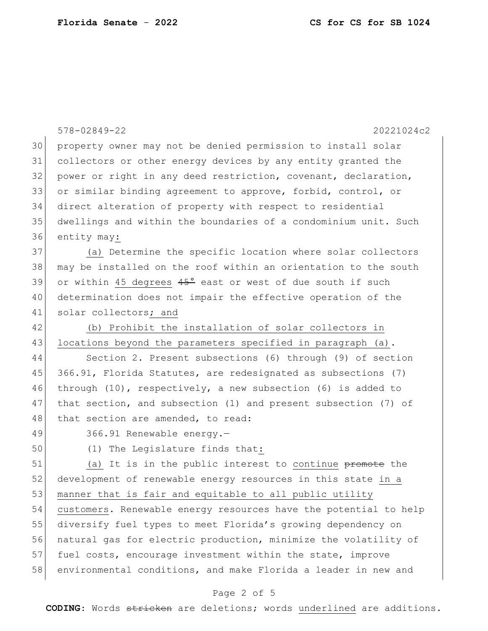|    | $578 - 02849 - 22$<br>20221024c2                                    |
|----|---------------------------------------------------------------------|
| 30 | property owner may not be denied permission to install solar        |
| 31 | collectors or other energy devices by any entity granted the        |
| 32 | power or right in any deed restriction, covenant, declaration,      |
| 33 | or similar binding agreement to approve, forbid, control, or        |
| 34 | direct alteration of property with respect to residential           |
| 35 | dwellings and within the boundaries of a condominium unit. Such     |
| 36 | entity may:                                                         |
| 37 | (a) Determine the specific location where solar collectors          |
| 38 | may be installed on the roof within an orientation to the south     |
| 39 | or within 45 degrees $45^{\circ}$ east or west of due south if such |
| 40 | determination does not impair the effective operation of the        |
| 41 | solar collectors; and                                               |
| 42 | (b) Prohibit the installation of solar collectors in                |
| 43 | locations beyond the parameters specified in paragraph (a).         |
| 44 | Section 2. Present subsections (6) through (9) of section           |
| 45 | 366.91, Florida Statutes, are redesignated as subsections (7)       |
| 46 | through $(10)$ , respectively, a new subsection $(6)$ is added to   |
| 47 | that section, and subsection (1) and present subsection (7) of      |
| 48 | that section are amended, to read:                                  |
| 49 | 366.91 Renewable energy.-                                           |
| 50 | (1) The Legislature finds that:                                     |
| 51 | (a) It is in the public interest to continue promote the            |
| 52 | development of renewable energy resources in this state in a        |
| 53 | manner that is fair and equitable to all public utility             |
| 54 | customers. Renewable energy resources have the potential to help    |
| 55 | diversify fuel types to meet Florida's growing dependency on        |
| 56 | natural gas for electric production, minimize the volatility of     |
| 57 | fuel costs, encourage investment within the state, improve          |

# 58 environmental conditions, and make Florida a leader in new and

#### Page 2 of 5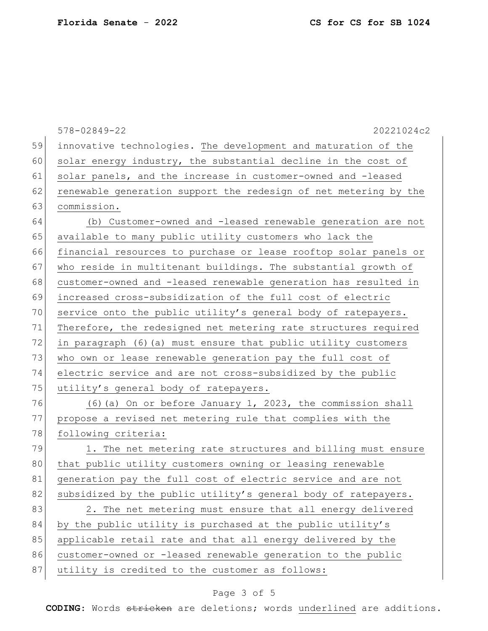|    | $578 - 02849 - 22$<br>20221024c2                                 |
|----|------------------------------------------------------------------|
| 59 | innovative technologies. The development and maturation of the   |
| 60 | solar energy industry, the substantial decline in the cost of    |
| 61 | solar panels, and the increase in customer-owned and -leased     |
| 62 | renewable generation support the redesign of net metering by the |
| 63 | commission.                                                      |
| 64 | (b) Customer-owned and -leased renewable generation are not      |
| 65 | available to many public utility customers who lack the          |
| 66 | financial resources to purchase or lease rooftop solar panels or |
| 67 | who reside in multitenant buildings. The substantial growth of   |
| 68 | customer-owned and -leased renewable generation has resulted in  |
| 69 | increased cross-subsidization of the full cost of electric       |
| 70 | service onto the public utility's general body of ratepayers.    |
| 71 | Therefore, the redesigned net metering rate structures required  |
| 72 | in paragraph (6) (a) must ensure that public utility customers   |
| 73 | who own or lease renewable generation pay the full cost of       |
| 74 | electric service and are not cross-subsidized by the public      |
| 75 | utility's general body of ratepayers.                            |
| 76 | (6) (a) On or before January 1, 2023, the commission shall       |
| 77 | propose a revised net metering rule that complies with the       |
| 78 | following criteria:                                              |
| 79 | 1. The net metering rate structures and billing must ensure      |
| 80 | that public utility customers owning or leasing renewable        |
| 81 | generation pay the full cost of electric service and are not     |
| 82 | subsidized by the public utility's general body of ratepayers.   |
| 83 | 2. The net metering must ensure that all energy delivered        |
| 84 | by the public utility is purchased at the public utility's       |
| 85 | applicable retail rate and that all energy delivered by the      |
| 86 | customer-owned or -leased renewable generation to the public     |
| 87 | utility is credited to the customer as follows:                  |
|    |                                                                  |

# Page 3 of 5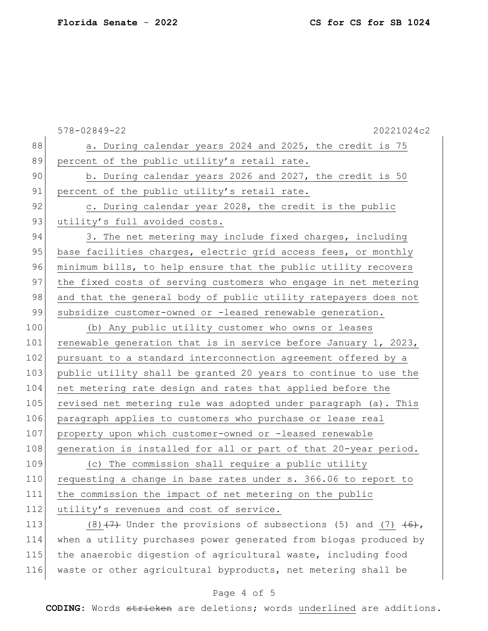|     | $578 - 02849 - 22$<br>20221024c2                                    |
|-----|---------------------------------------------------------------------|
| 88  | a. During calendar years 2024 and 2025, the credit is 75            |
| 89  | percent of the public utility's retail rate.                        |
| 90  | b. During calendar years 2026 and 2027, the credit is 50            |
| 91  | percent of the public utility's retail rate.                        |
| 92  | c. During calendar year 2028, the credit is the public              |
| 93  | utility's full avoided costs.                                       |
| 94  | 3. The net metering may include fixed charges, including            |
| 95  | base facilities charges, electric grid access fees, or monthly      |
| 96  | minimum bills, to help ensure that the public utility recovers      |
| 97  | the fixed costs of serving customers who engage in net metering     |
| 98  | and that the general body of public utility ratepayers does not     |
| 99  | subsidize customer-owned or -leased renewable generation.           |
| 100 | (b) Any public utility customer who owns or leases                  |
| 101 | renewable generation that is in service before January 1, 2023,     |
| 102 | pursuant to a standard interconnection agreement offered by a       |
| 103 | public utility shall be granted 20 years to continue to use the     |
| 104 | net metering rate design and rates that applied before the          |
| 105 | revised net metering rule was adopted under paragraph (a). This     |
| 106 | paragraph applies to customers who purchase or lease real           |
| 107 | property upon which customer-owned or -leased renewable             |
| 108 | generation is installed for all or part of that 20-year period.     |
| 109 | (c) The commission shall require a public utility                   |
| 110 | requesting a change in base rates under s. 366.06 to report to      |
| 111 | the commission the impact of net metering on the public             |
| 112 | utility's revenues and cost of service.                             |
| 113 | $(8)$ $(7)$ Under the provisions of subsections (5) and (7) $(6)$ , |
| 114 | when a utility purchases power generated from biogas produced by    |
| 115 | the anaerobic digestion of agricultural waste, including food       |

#### Page 4 of 5

waste or other agricultural byproducts, net metering shall be